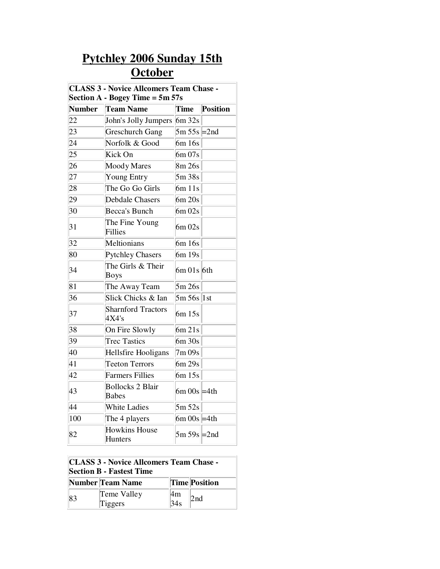## **Pytchley 2006 Sunday 15th October**

| <b>CLASS 3 - Novice Allcomers Team Chase -</b><br>Section $A - Bogey Time = 5m 57s$ |                                         |                  |          |  |
|-------------------------------------------------------------------------------------|-----------------------------------------|------------------|----------|--|
| <b>Number</b>                                                                       | <b>Team Name</b>                        | Time             | Position |  |
| 22                                                                                  | John's Jolly Jumpers                    | 6m32s            |          |  |
| 23                                                                                  | <b>Greschurch Gang</b>                  | $5m 55s$ = 2nd   |          |  |
| 24                                                                                  | Norfolk & Good                          | 6m 16s           |          |  |
| 25                                                                                  | Kick On                                 | 6m 07s           |          |  |
| 26                                                                                  | Moody Mares                             | 8m 26s           |          |  |
| 27                                                                                  | <b>Young Entry</b>                      | 5m 38s           |          |  |
| 28                                                                                  | The Go Go Girls                         | 6m11s            |          |  |
| 29                                                                                  | <b>Debdale Chasers</b>                  | 6m 20s           |          |  |
| 30                                                                                  | Becca's Bunch                           | $6m\,02s$        |          |  |
| 31                                                                                  | The Fine Young<br>Fillies               | 6m 02s           |          |  |
| 32                                                                                  | Meltionians                             | 6m 16s           |          |  |
| 80                                                                                  | Pytchley Chasers                        | 6m 19s           |          |  |
| 34                                                                                  | The Girls & Their<br>Boys               | $6m$ 01s $6th$   |          |  |
| 81                                                                                  | The Away Team                           | 5m 26s           |          |  |
| 36                                                                                  | Slick Chicks & Ian                      | $5m 56s$ 1st     |          |  |
| 37                                                                                  | <b>Sharnford Tractors</b><br>4X4's      | 6m 15s           |          |  |
| 38                                                                                  | On Fire Slowly                          | 6m 21s           |          |  |
| 39                                                                                  | <b>Trec Tastics</b>                     | 6m 30s           |          |  |
| 40                                                                                  | Hellsfire Hooligans                     | 7m09s            |          |  |
| 41                                                                                  | <b>Teeton Terrors</b>                   | 6m 29s           |          |  |
| 42                                                                                  | <b>Farmers Fillies</b>                  | 6m 15s           |          |  |
| 43                                                                                  | <b>Bollocks 2 Blair</b><br><b>Babes</b> | $6m \ 00s = 4th$ |          |  |
| 44                                                                                  | <b>White Ladies</b>                     | 5m 52s           |          |  |
| 100                                                                                 | The 4 players                           | $6m \ 00s$ = 4th |          |  |
| 82                                                                                  | <b>Howkins House</b><br>Hunters         | $5m 59s$ = 2nd   |          |  |

## **CLASS 3 - Novice Allcomers Team Chase - Section B - Fastest Time**

|    | Number Team Name |     | <b>Time Position</b> |  |
|----|------------------|-----|----------------------|--|
| 83 | Teme Valley      | l4m | 2nd                  |  |
|    | Tiggers          | 34s |                      |  |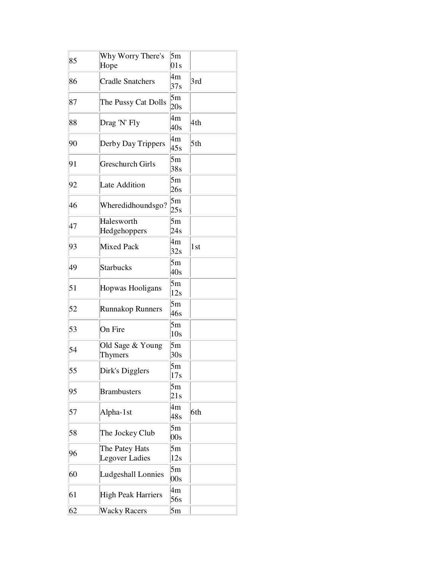| 85 | Why Worry There's<br>Hope        | 5m<br>01s |                 |
|----|----------------------------------|-----------|-----------------|
| 86 | <b>Cradle Snatchers</b>          | 4m<br>37s | 3rd             |
| 87 | The Pussy Cat Dolls              | 5m<br>20s |                 |
| 88 | Drag 'N' Fly                     | 4m<br>40s | 4th             |
| 90 | Derby Day Trippers               | 4m<br>45s | 5th             |
| 91 | <b>Greschurch Girls</b>          | 5m<br>38s |                 |
| 92 | Late Addition                    | 5m<br>26s |                 |
| 46 | Wheredidhoundsgo?                | 5m<br>25s |                 |
| 47 | Halesworth<br>Hedgehoppers       | 5m<br>24s |                 |
| 93 | <b>Mixed Pack</b>                | 4m<br>32s | 1 <sub>st</sub> |
| 49 | <b>Starbucks</b>                 | 5m<br>40s |                 |
| 51 | Hopwas Hooligans                 | 5m<br>12s |                 |
| 52 | <b>Runnakop Runners</b>          | 5m<br>46s |                 |
| 53 | On Fire                          | 5m<br>10s |                 |
| 54 | Old Sage & Young<br>Thymers      | 5m<br>30s |                 |
| 55 | Dirk's Digglers                  | 5m<br>17s |                 |
| 95 | <b>Brambusters</b>               | 5m<br>21s |                 |
| 57 | Alpha-1st                        | 4m<br>48s | 6th             |
| 58 | The Jockey Club                  | 5m<br>00s |                 |
| 96 | The Patey Hats<br>Legover Ladies | 5m<br>12s |                 |
| 60 | Ludgeshall Lonnies               | 5m<br>00s |                 |
| 61 | High Peak Harriers               | 4m<br>56s |                 |
| 62 | <b>Wacky Racers</b>              | 5m        |                 |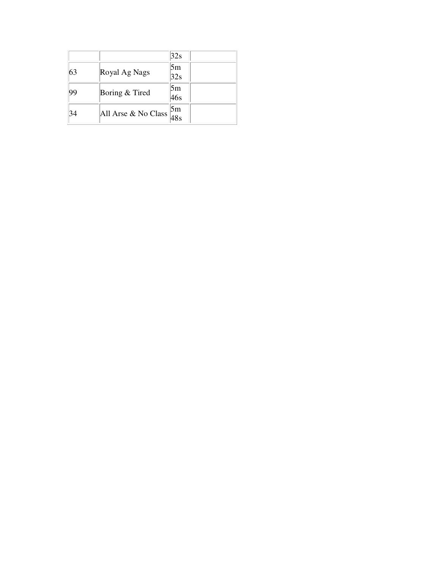| 5m<br>Royal Ag Nags<br>63<br>32s<br>5m<br>Boring & Tired<br> 99<br>46s<br>All Arse & No Class $\begin{bmatrix} 5m \\ 48s \end{bmatrix}$ |    | 32s |  |
|-----------------------------------------------------------------------------------------------------------------------------------------|----|-----|--|
|                                                                                                                                         |    |     |  |
|                                                                                                                                         |    |     |  |
|                                                                                                                                         |    |     |  |
|                                                                                                                                         |    |     |  |
|                                                                                                                                         | 34 |     |  |